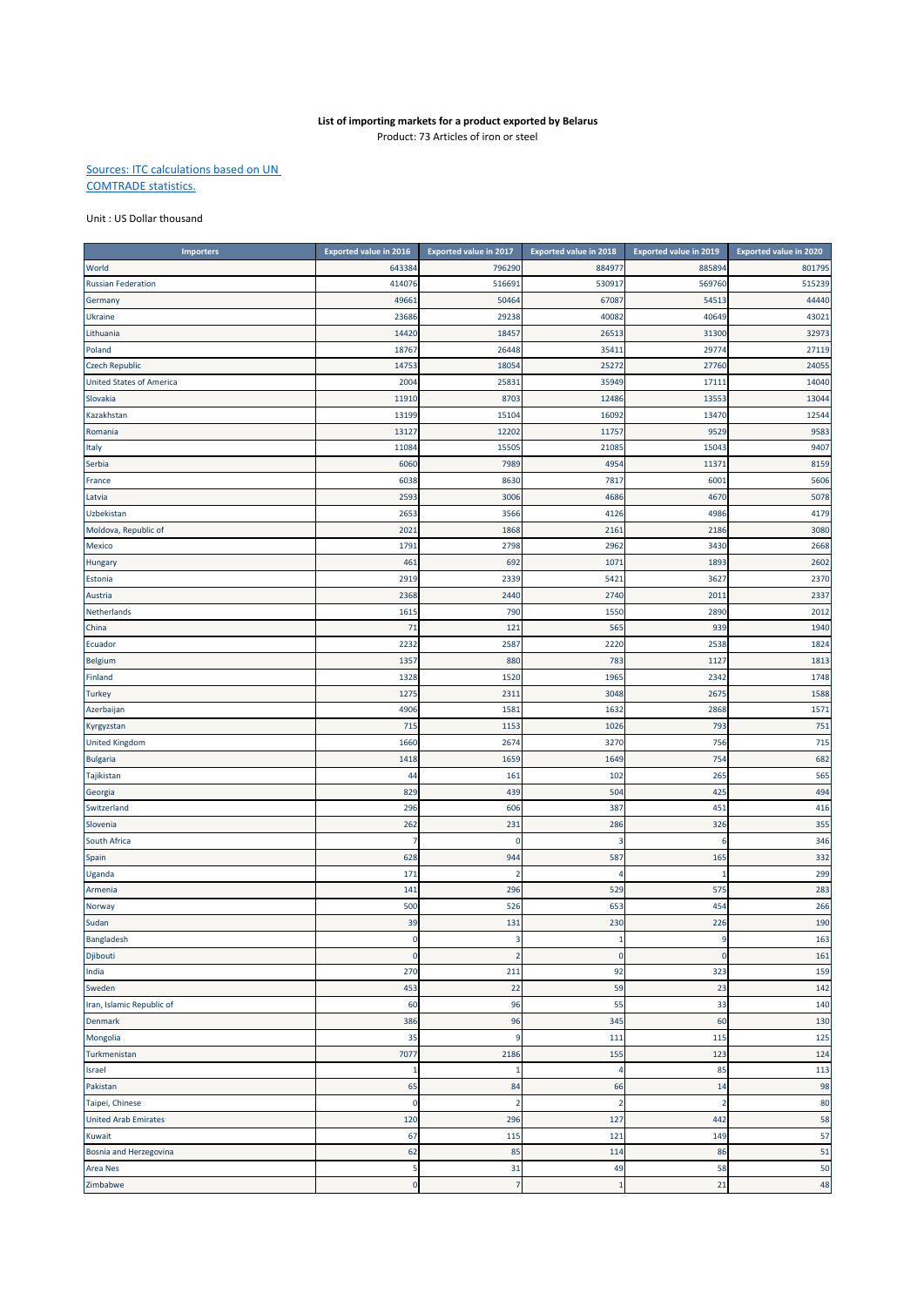## **List of importing markets for a product exported by Belarus**

Product: 73 Articles of iron or steel

## Sources: ITC calculations based on UN COMTRADE statistics.

## Unit : US Dollar thousand

| <b>Importers</b>                | <b>Exported value in 2016</b> | <b>Exported value in 2017</b> | <b>Exported value in 2018</b> | <b>Exported value in 2019</b> | <b>Exported value in 2020</b> |
|---------------------------------|-------------------------------|-------------------------------|-------------------------------|-------------------------------|-------------------------------|
| World                           | 643384                        | 796290                        | 884977                        | 885894                        | 801795                        |
| <b>Russian Federation</b>       | 414076                        | 516691                        | 530917                        | 569760                        | 515239                        |
| Germany                         | 4966                          | 50464                         | 67087                         | 54513                         | 44440                         |
| Ukraine                         | 23686                         | 29238                         | 40082                         | 40649                         | 43021                         |
| Lithuania                       | 14420                         | 18457                         | 26513                         | 31300                         | 32973                         |
| Poland                          | 1876                          | 26448                         | 35411                         | 29774                         | 27119                         |
| <b>Czech Republic</b>           | 14753                         | 18054                         | 25272                         | 27760                         | 24055                         |
| <b>United States of America</b> | 2004                          | 25831                         | 35949                         | 17111                         | 14040                         |
| Slovakia                        | 1191                          | 8703                          | 12486                         | 13553                         | 13044                         |
| Kazakhstan                      | 13199                         | 15104                         | 16092                         | 13470                         | 12544                         |
| Romania                         | 1312                          | 12202                         | 11757                         | 9529                          | 9583                          |
| Italy                           | 1108                          | 15505                         | 21085                         | 15043                         | 9407                          |
| Serbia                          | 6060                          | 7989                          | 4954                          | 11371                         | 8159                          |
| France                          | 6038                          | 8630                          | 7817                          | 6001                          | 5606                          |
| Latvia                          | 2593                          | 3006                          | 4686                          | 467C                          | 5078                          |
| Uzbekistan                      | 265                           | 3566                          | 4126                          | 4986                          | 4179                          |
| Moldova, Republic of            | 202                           | 1868                          | 2161                          | 2186                          | 3080                          |
| Mexico                          | 1791                          | 2798                          | 2962                          | 3430                          | 2668                          |
| Hungary                         | 461                           | 692                           | 1071                          | 1893                          | 2602                          |
| Estonia                         | 2919                          | 2339                          | 5421                          | 3627                          | 2370                          |
| Austria                         | 2368                          | 2440                          | 2740                          | 2011                          | 2337                          |
| Netherlands                     | 1615                          | 790                           | 1550                          | 2890                          | 2012                          |
| China                           | 71                            | 121                           | 565                           | 939                           | 1940                          |
| Ecuador                         | 2232                          | 2587                          | 2220                          | 2538                          | 1824                          |
| Belgium                         | 135                           | 880                           | 783                           | 1127                          | 1813                          |
| Finland                         | 1328                          | 1520                          | 1965                          | 2342                          | 1748                          |
| <b>Turkey</b>                   | 1275                          | 2311                          | 3048                          | 2675                          | 1588                          |
| Azerbaijan                      | 4906                          | 1581                          | 1632                          | 2868                          | 1571                          |
| Kyrgyzstan                      | 715                           | 1153                          | 1026                          | 793                           | 751                           |
| <b>United Kingdom</b>           | 1660                          | 2674                          | 3270                          | 756                           | 715                           |
| <b>Bulgaria</b>                 | 1418                          | 1659                          | 1649                          | 754                           | 682                           |
| Tajikistan                      | 44                            | 161                           | 102                           | 265                           | 565                           |
| Georgia                         | 829                           | 439                           | 504                           | 425                           | 494                           |
| Switzerland                     | 296                           | 606                           | 387                           | 451                           | 416                           |
| Slovenia                        | 262                           | 231                           | 286                           | 326                           | 355                           |
| South Africa                    | 7                             | O                             | 3                             | -6                            | 346                           |
| Spain                           | 628                           | 944                           | 587                           | 165                           | 332                           |
| Uganda                          | 171                           | $\overline{2}$                | 4                             | $\overline{1}$                | 299                           |
| Armenia                         | 141                           | 296                           | 529                           | 575                           | 283                           |
| Norway                          | 500                           | 526                           | 653                           | 454                           | 266                           |
| Sudan                           | 39                            | 131                           | 230                           | 226                           | 190                           |
| Bangladesh                      | $\Omega$                      | $\overline{a}$                | $\mathbf{1}$                  | a                             | 163                           |
| Djibouti                        | $\mathbf 0$                   | $\overline{2}$                | $\mathbf 0$                   | $\mathbf 0$                   | 161                           |
| India                           | 270                           | 211                           | 92                            | 323                           | 159                           |
| Sweden                          | 453                           | 22                            | 59                            | 23                            | 142                           |
| Iran, Islamic Republic of       | 60                            | 96                            | 55                            | 33                            | 140                           |
| Denmark                         | 386                           | 96                            | 345                           | 60                            | 130                           |
| Mongolia                        | 35                            | 9                             | 111                           | 115                           | 125                           |
| Turkmenistan                    | 7077                          | 2186                          | 155                           | 123                           | 124                           |
| Israel                          | $\mathbf{1}$                  | $\mathbf{1}$                  | 4                             | 85                            | 113                           |
| Pakistan                        | 65                            | 84                            | 66                            | 14                            | 98                            |
| Taipei, Chinese                 | $\mathbf 0$                   | $\overline{2}$                | $\overline{2}$                | $\overline{2}$                | 80                            |
| <b>United Arab Emirates</b>     | 120                           | 296                           | 127                           | 442                           | 58                            |
| Kuwait                          | 67                            | 115                           | 121                           | 149                           | 57                            |
| Bosnia and Herzegovina          | 62                            | 85                            | 114                           | 86                            | 51                            |
| <b>Area Nes</b>                 | 5                             | 31                            | 49                            | 58                            | 50                            |
| Zimbabwe                        | $\mathbf 0$                   | $\overline{7}$                | $\,1\,$                       | 21                            | 48                            |